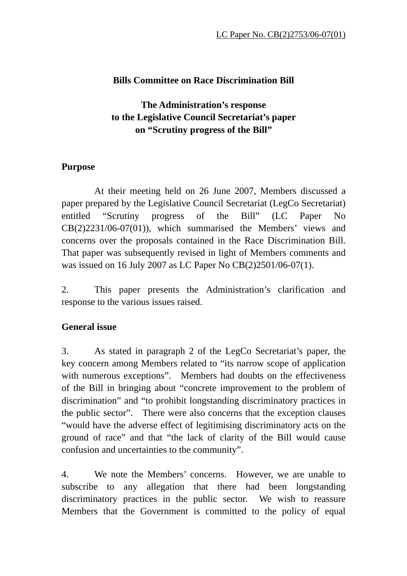### **Bills Committee on Race Discrimination Bill**

# **The Administration's response to the Legislative Council Secretariat's paper on "Scrutiny progress of the Bill"**

#### **Purpose**

 At their meeting held on 26 June 2007, Members discussed a paper prepared by the Legislative Council Secretariat (LegCo Secretariat) entitled "Scrutiny progress of the Bill" (LC Paper No CB(2)2231/06-07(01)), which summarised the Members' views and concerns over the proposals contained in the Race Discrimination Bill. That paper was subsequently revised in light of Members comments and was issued on 16 July 2007 as LC Paper No CB(2)2501/06-07(1).

2. This paper presents the Administration's clarification and response to the various issues raised.

### **General issue**

3. As stated in paragraph 2 of the LegCo Secretariat's paper, the key concern among Members related to "its narrow scope of application with numerous exceptions". Members had doubts on the effectiveness of the Bill in bringing about "concrete improvement to the problem of discrimination" and "to prohibit longstanding discriminatory practices in the public sector". There were also concerns that the exception clauses "would have the adverse effect of legitimising discriminatory acts on the ground of race" and that "the lack of clarity of the Bill would cause confusion and uncertainties to the community".

4. We note the Members' concerns. However, we are unable to subscribe to any allegation that there had been longstanding discriminatory practices in the public sector. We wish to reassure Members that the Government is committed to the policy of equal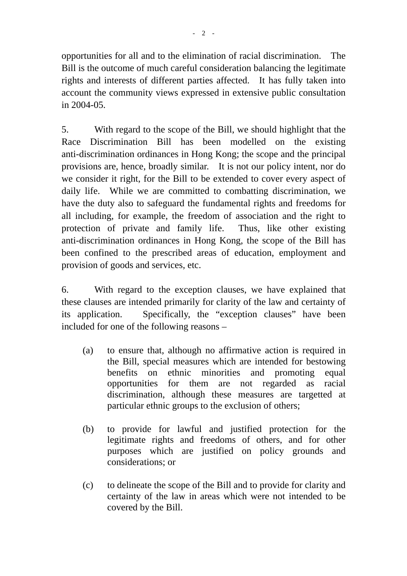opportunities for all and to the elimination of racial discrimination. The Bill is the outcome of much careful consideration balancing the legitimate rights and interests of different parties affected. It has fully taken into account the community views expressed in extensive public consultation in 2004-05.

5. With regard to the scope of the Bill, we should highlight that the Race Discrimination Bill has been modelled on the existing anti-discrimination ordinances in Hong Kong; the scope and the principal provisions are, hence, broadly similar. It is not our policy intent, nor do we consider it right, for the Bill to be extended to cover every aspect of daily life. While we are committed to combatting discrimination, we have the duty also to safeguard the fundamental rights and freedoms for all including, for example, the freedom of association and the right to protection of private and family life. Thus, like other existing anti-discrimination ordinances in Hong Kong, the scope of the Bill has been confined to the prescribed areas of education, employment and provision of goods and services, etc.

6. With regard to the exception clauses, we have explained that these clauses are intended primarily for clarity of the law and certainty of its application. Specifically, the "exception clauses" have been included for one of the following reasons –

- (a) to ensure that, although no affirmative action is required in the Bill, special measures which are intended for bestowing benefits on ethnic minorities and promoting equal opportunities for them are not regarded as racial discrimination, although these measures are targetted at particular ethnic groups to the exclusion of others;
- (b) to provide for lawful and justified protection for the legitimate rights and freedoms of others, and for other purposes which are justified on policy grounds and considerations; or
- (c) to delineate the scope of the Bill and to provide for clarity and certainty of the law in areas which were not intended to be covered by the Bill.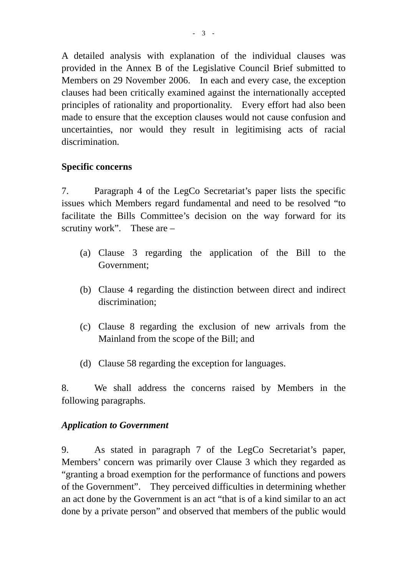A detailed analysis with explanation of the individual clauses was provided in the Annex B of the Legislative Council Brief submitted to Members on 29 November 2006. In each and every case, the exception clauses had been critically examined against the internationally accepted principles of rationality and proportionality. Every effort had also been made to ensure that the exception clauses would not cause confusion and uncertainties, nor would they result in legitimising acts of racial discrimination.

### **Specific concerns**

7. Paragraph 4 of the LegCo Secretariat's paper lists the specific issues which Members regard fundamental and need to be resolved "to facilitate the Bills Committee's decision on the way forward for its scrutiny work". These are –

- (a) Clause 3 regarding the application of the Bill to the Government;
- (b) Clause 4 regarding the distinction between direct and indirect discrimination;
- (c) Clause 8 regarding the exclusion of new arrivals from the Mainland from the scope of the Bill; and
- (d) Clause 58 regarding the exception for languages.

8. We shall address the concerns raised by Members in the following paragraphs.

#### *Application to Government*

9. As stated in paragraph 7 of the LegCo Secretariat's paper, Members' concern was primarily over Clause 3 which they regarded as "granting a broad exemption for the performance of functions and powers of the Government". They perceived difficulties in determining whether an act done by the Government is an act "that is of a kind similar to an act done by a private person" and observed that members of the public would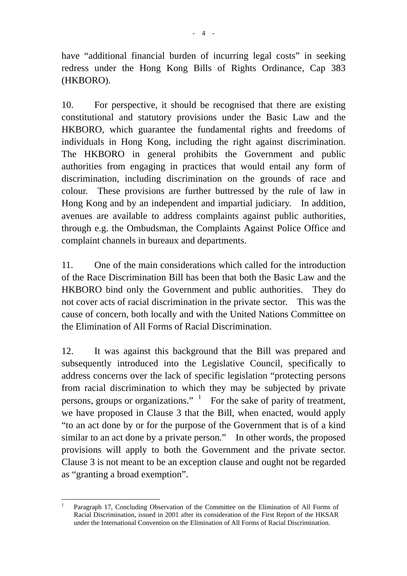have "additional financial burden of incurring legal costs" in seeking redress under the Hong Kong Bills of Rights Ordinance, Cap 383 (HKBORO).

10. For perspective, it should be recognised that there are existing constitutional and statutory provisions under the Basic Law and the HKBORO, which guarantee the fundamental rights and freedoms of individuals in Hong Kong, including the right against discrimination. The HKBORO in general prohibits the Government and public authorities from engaging in practices that would entail any form of discrimination, including discrimination on the grounds of race and colour. These provisions are further buttressed by the rule of law in Hong Kong and by an independent and impartial judiciary. In addition, avenues are available to address complaints against public authorities, through e.g. the Ombudsman, the Complaints Against Police Office and complaint channels in bureaux and departments.

11. One of the main considerations which called for the introduction of the Race Discrimination Bill has been that both the Basic Law and the HKBORO bind only the Government and public authorities. They do not cover acts of racial discrimination in the private sector. This was the cause of concern, both locally and with the United Nations Committee on the Elimination of All Forms of Racial Discrimination.

12. It was against this background that the Bill was prepared and subsequently introduced into the Legislative Council, specifically to address concerns over the lack of specific legislation "protecting persons from racial discrimination to which they may be subjected by private persons, groups or organizations."  $\frac{1}{1}$  For the sake of parity of treatment, we have proposed in Clause 3 that the Bill, when enacted, would apply "to an act done by or for the purpose of the Government that is of a kind similar to an act done by a private person." In other words, the proposed provisions will apply to both the Government and the private sector. Clause 3 is not meant to be an exception clause and ought not be regarded as "granting a broad exemption".

 $\overline{a}$ 1 Paragraph 17, Concluding Observation of the Committee on the Elimination of All Forms of Racial Discrimination, issued in 2001 after its consideration of the First Report of the HKSAR under the International Convention on the Elimination of All Forms of Racial Discrimination.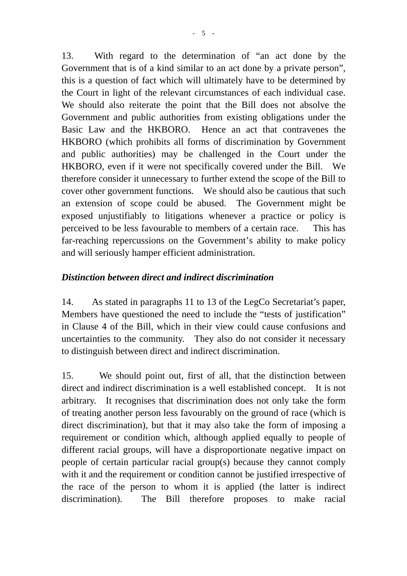13. With regard to the determination of "an act done by the Government that is of a kind similar to an act done by a private person", this is a question of fact which will ultimately have to be determined by the Court in light of the relevant circumstances of each individual case. We should also reiterate the point that the Bill does not absolve the Government and public authorities from existing obligations under the Basic Law and the HKBORO. Hence an act that contravenes the HKBORO (which prohibits all forms of discrimination by Government and public authorities) may be challenged in the Court under the HKBORO, even if it were not specifically covered under the Bill. We therefore consider it unnecessary to further extend the scope of the Bill to cover other government functions. We should also be cautious that such an extension of scope could be abused. The Government might be exposed unjustifiably to litigations whenever a practice or policy is perceived to be less favourable to members of a certain race. This has far-reaching repercussions on the Government's ability to make policy and will seriously hamper efficient administration.

### *Distinction between direct and indirect discrimination*

14. As stated in paragraphs 11 to 13 of the LegCo Secretariat's paper, Members have questioned the need to include the "tests of justification" in Clause 4 of the Bill, which in their view could cause confusions and uncertainties to the community. They also do not consider it necessary to distinguish between direct and indirect discrimination.

15. We should point out, first of all, that the distinction between direct and indirect discrimination is a well established concept. It is not arbitrary. It recognises that discrimination does not only take the form of treating another person less favourably on the ground of race (which is direct discrimination), but that it may also take the form of imposing a requirement or condition which, although applied equally to people of different racial groups, will have a disproportionate negative impact on people of certain particular racial group(s) because they cannot comply with it and the requirement or condition cannot be justified irrespective of the race of the person to whom it is applied (the latter is indirect discrimination). The Bill therefore proposes to make racial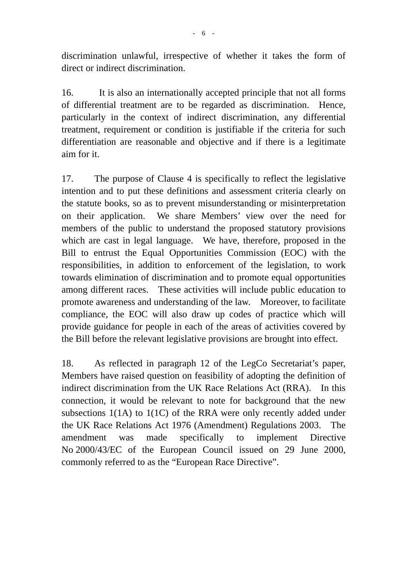discrimination unlawful, irrespective of whether it takes the form of direct or indirect discrimination.

16. It is also an internationally accepted principle that not all forms of differential treatment are to be regarded as discrimination. Hence, particularly in the context of indirect discrimination, any differential treatment, requirement or condition is justifiable if the criteria for such differentiation are reasonable and objective and if there is a legitimate aim for it.

17. The purpose of Clause 4 is specifically to reflect the legislative intention and to put these definitions and assessment criteria clearly on the statute books, so as to prevent misunderstanding or misinterpretation on their application. We share Members' view over the need for members of the public to understand the proposed statutory provisions which are cast in legal language. We have, therefore, proposed in the Bill to entrust the Equal Opportunities Commission (EOC) with the responsibilities, in addition to enforcement of the legislation, to work towards elimination of discrimination and to promote equal opportunities among different races. These activities will include public education to promote awareness and understanding of the law. Moreover, to facilitate compliance, the EOC will also draw up codes of practice which will provide guidance for people in each of the areas of activities covered by the Bill before the relevant legislative provisions are brought into effect.

18. As reflected in paragraph 12 of the LegCo Secretariat's paper, Members have raised question on feasibility of adopting the definition of indirect discrimination from the UK Race Relations Act (RRA). In this connection, it would be relevant to note for background that the new subsections 1(1A) to 1(1C) of the RRA were only recently added under the UK Race Relations Act 1976 (Amendment) Regulations 2003. The amendment was made specifically to implement Directive No 2000/43/EC of the European Council issued on 29 June 2000, commonly referred to as the "European Race Directive".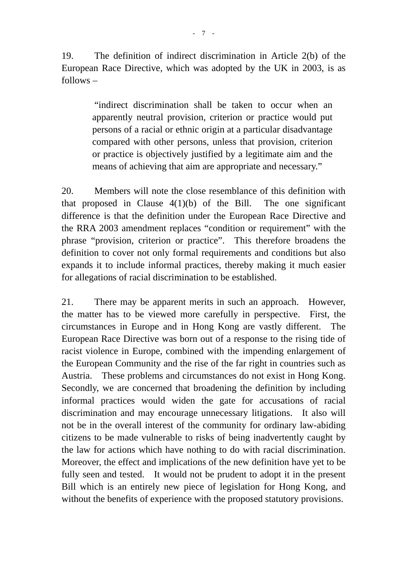19. The definition of indirect discrimination in Article 2(b) of the European Race Directive, which was adopted by the UK in 2003, is as follows –

> "indirect discrimination shall be taken to occur when an apparently neutral provision, criterion or practice would put persons of a racial or ethnic origin at a particular disadvantage compared with other persons, unless that provision, criterion or practice is objectively justified by a legitimate aim and the means of achieving that aim are appropriate and necessary."

20. Members will note the close resemblance of this definition with that proposed in Clause  $4(1)(b)$  of the Bill. The one significant difference is that the definition under the European Race Directive and the RRA 2003 amendment replaces "condition or requirement" with the phrase "provision, criterion or practice". This therefore broadens the definition to cover not only formal requirements and conditions but also expands it to include informal practices, thereby making it much easier for allegations of racial discrimination to be established.

21. There may be apparent merits in such an approach. However, the matter has to be viewed more carefully in perspective. First, the circumstances in Europe and in Hong Kong are vastly different. The European Race Directive was born out of a response to the rising tide of racist violence in Europe, combined with the impending enlargement of the European Community and the rise of the far right in countries such as Austria. These problems and circumstances do not exist in Hong Kong. Secondly, we are concerned that broadening the definition by including informal practices would widen the gate for accusations of racial discrimination and may encourage unnecessary litigations. It also will not be in the overall interest of the community for ordinary law-abiding citizens to be made vulnerable to risks of being inadvertently caught by the law for actions which have nothing to do with racial discrimination. Moreover, the effect and implications of the new definition have yet to be fully seen and tested. It would not be prudent to adopt it in the present Bill which is an entirely new piece of legislation for Hong Kong, and without the benefits of experience with the proposed statutory provisions.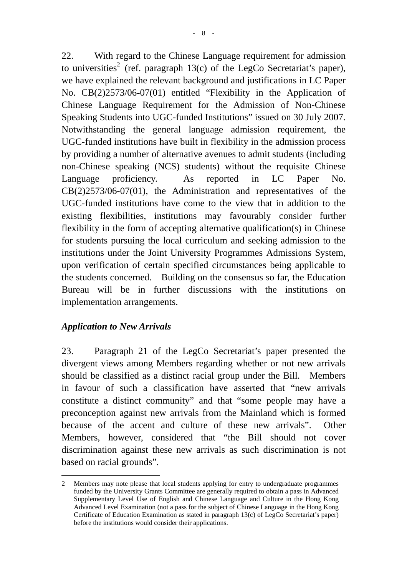22. With regard to the Chinese Language requirement for admission to universities<sup>2</sup> (ref. paragraph 13(c) of the LegCo Secretariat's paper), we have explained the relevant background and justifications in LC Paper No. CB(2)2573/06-07(01) entitled "Flexibility in the Application of Chinese Language Requirement for the Admission of Non-Chinese Speaking Students into UGC-funded Institutions" issued on 30 July 2007. Notwithstanding the general language admission requirement, the UGC-funded institutions have built in flexibility in the admission process by providing a number of alternative avenues to admit students (including non-Chinese speaking (NCS) students) without the requisite Chinese Language proficiency. As reported in LC Paper No. CB(2)2573/06-07(01), the Administration and representatives of the UGC-funded institutions have come to the view that in addition to the existing flexibilities, institutions may favourably consider further flexibility in the form of accepting alternative qualification(s) in Chinese for students pursuing the local curriculum and seeking admission to the institutions under the Joint University Programmes Admissions System, upon verification of certain specified circumstances being applicable to the students concerned. Building on the consensus so far, the Education Bureau will be in further discussions with the institutions on implementation arrangements.

### *Application to New Arrivals*

23. Paragraph 21 of the LegCo Secretariat's paper presented the divergent views among Members regarding whether or not new arrivals should be classified as a distinct racial group under the Bill. Members in favour of such a classification have asserted that "new arrivals constitute a distinct community" and that "some people may have a preconception against new arrivals from the Mainland which is formed because of the accent and culture of these new arrivals". Other Members, however, considered that "the Bill should not cover discrimination against these new arrivals as such discrimination is not based on racial grounds".

 $\overline{a}$ 2 Members may note please that local students applying for entry to undergraduate programmes funded by the University Grants Committee are generally required to obtain a pass in Advanced Supplementary Level Use of English and Chinese Language and Culture in the Hong Kong Advanced Level Examination (not a pass for the subject of Chinese Language in the Hong Kong Certificate of Education Examination as stated in paragraph 13(c) of LegCo Secretariat's paper) before the institutions would consider their applications.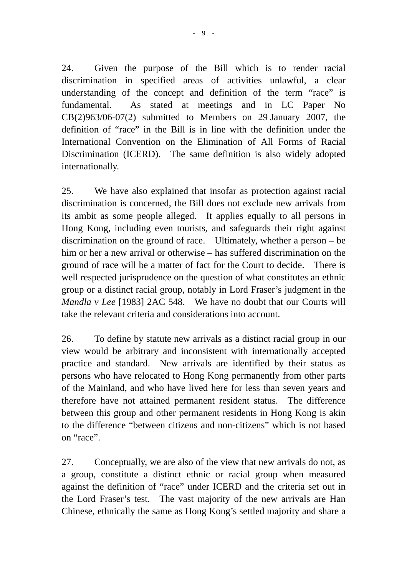24. Given the purpose of the Bill which is to render racial discrimination in specified areas of activities unlawful, a clear understanding of the concept and definition of the term "race" is fundamental. As stated at meetings and in LC Paper No  $CB(2)963/06-07(2)$  submitted to Members on 29 January 2007, the definition of "race" in the Bill is in line with the definition under the International Convention on the Elimination of All Forms of Racial Discrimination (ICERD). The same definition is also widely adopted internationally.

25. We have also explained that insofar as protection against racial discrimination is concerned, the Bill does not exclude new arrivals from its ambit as some people alleged. It applies equally to all persons in Hong Kong, including even tourists, and safeguards their right against discrimination on the ground of race. Ultimately, whether a person – be him or her a new arrival or otherwise – has suffered discrimination on the ground of race will be a matter of fact for the Court to decide. There is well respected jurisprudence on the question of what constitutes an ethnic group or a distinct racial group, notably in Lord Fraser's judgment in the *Mandla v Lee* [1983] 2AC 548. We have no doubt that our Courts will take the relevant criteria and considerations into account.

26. To define by statute new arrivals as a distinct racial group in our view would be arbitrary and inconsistent with internationally accepted practice and standard. New arrivals are identified by their status as persons who have relocated to Hong Kong permanently from other parts of the Mainland, and who have lived here for less than seven years and therefore have not attained permanent resident status. The difference between this group and other permanent residents in Hong Kong is akin to the difference "between citizens and non-citizens" which is not based on "race".

27. Conceptually, we are also of the view that new arrivals do not, as a group, constitute a distinct ethnic or racial group when measured against the definition of "race" under ICERD and the criteria set out in the Lord Fraser's test. The vast majority of the new arrivals are Han Chinese, ethnically the same as Hong Kong's settled majority and share a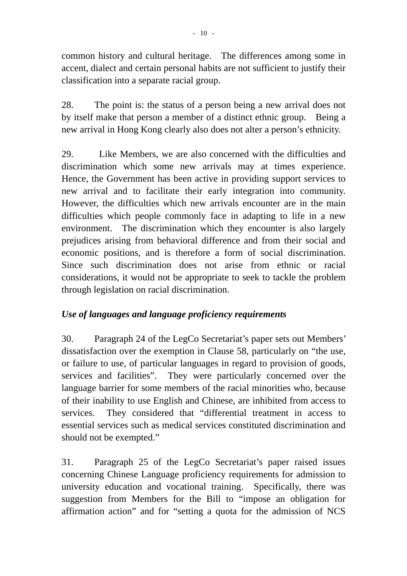common history and cultural heritage. The differences among some in accent, dialect and certain personal habits are not sufficient to justify their classification into a separate racial group.

28. The point is: the status of a person being a new arrival does not by itself make that person a member of a distinct ethnic group. Being a new arrival in Hong Kong clearly also does not alter a person's ethnicity.

29. Like Members, we are also concerned with the difficulties and discrimination which some new arrivals may at times experience. Hence, the Government has been active in providing support services to new arrival and to facilitate their early integration into community. However, the difficulties which new arrivals encounter are in the main difficulties which people commonly face in adapting to life in a new environment. The discrimination which they encounter is also largely prejudices arising from behavioral difference and from their social and economic positions, and is therefore a form of social discrimination. Since such discrimination does not arise from ethnic or racial considerations, it would not be appropriate to seek to tackle the problem through legislation on racial discrimination.

# *Use of languages and language proficiency requirements*

30. Paragraph 24 of the LegCo Secretariat's paper sets out Members' dissatisfaction over the exemption in Clause 58, particularly on "the use, or failure to use, of particular languages in regard to provision of goods, services and facilities". They were particularly concerned over the language barrier for some members of the racial minorities who, because of their inability to use English and Chinese, are inhibited from access to services. They considered that "differential treatment in access to essential services such as medical services constituted discrimination and should not be exempted."

31. Paragraph 25 of the LegCo Secretariat's paper raised issues concerning Chinese Language proficiency requirements for admission to university education and vocational training. Specifically, there was suggestion from Members for the Bill to "impose an obligation for affirmation action" and for "setting a quota for the admission of NCS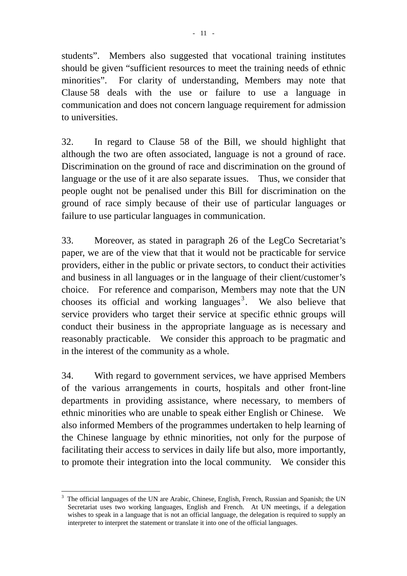students". Members also suggested that vocational training institutes should be given "sufficient resources to meet the training needs of ethnic minorities". For clarity of understanding, Members may note that Clause 58 deals with the use or failure to use a language in communication and does not concern language requirement for admission to universities.

32. In regard to Clause 58 of the Bill, we should highlight that although the two are often associated, language is not a ground of race. Discrimination on the ground of race and discrimination on the ground of language or the use of it are also separate issues. Thus, we consider that people ought not be penalised under this Bill for discrimination on the ground of race simply because of their use of particular languages or failure to use particular languages in communication.

33. Moreover, as stated in paragraph 26 of the LegCo Secretariat's paper, we are of the view that that it would not be practicable for service providers, either in the public or private sectors, to conduct their activities and business in all languages or in the language of their client/customer's choice. For reference and comparison, Members may note that the UN chooses its official and working languages<sup>3</sup>. We also believe that service providers who target their service at specific ethnic groups will conduct their business in the appropriate language as is necessary and reasonably practicable. We consider this approach to be pragmatic and in the interest of the community as a whole.

34. With regard to government services, we have apprised Members of the various arrangements in courts, hospitals and other front-line departments in providing assistance, where necessary, to members of ethnic minorities who are unable to speak either English or Chinese. We also informed Members of the programmes undertaken to help learning of the Chinese language by ethnic minorities, not only for the purpose of facilitating their access to services in daily life but also, more importantly, to promote their integration into the local community. We consider this

 $\overline{a}$ 

<sup>3</sup> The official languages of the UN are Arabic, Chinese, English, French, Russian and Spanish; the UN Secretariat uses two working languages, English and French. At UN meetings, if a delegation wishes to speak in a language that is not an official language, the delegation is required to supply an interpreter to interpret the statement or translate it into one of the official languages.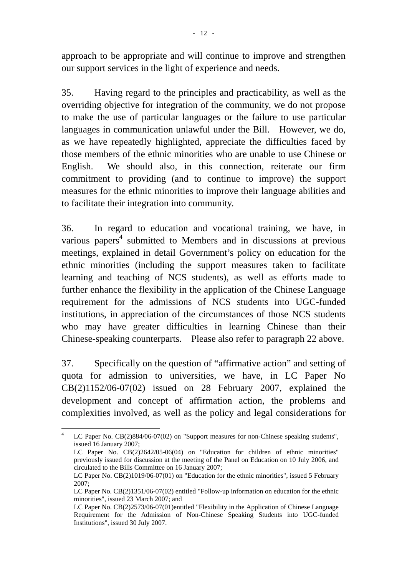approach to be appropriate and will continue to improve and strengthen our support services in the light of experience and needs.

35. Having regard to the principles and practicability, as well as the overriding objective for integration of the community, we do not propose to make the use of particular languages or the failure to use particular languages in communication unlawful under the Bill. However, we do, as we have repeatedly highlighted, appreciate the difficulties faced by those members of the ethnic minorities who are unable to use Chinese or English. We should also, in this connection, reiterate our firm commitment to providing (and to continue to improve) the support measures for the ethnic minorities to improve their language abilities and to facilitate their integration into community.

36. In regard to education and vocational training, we have, in various papers<sup>4</sup> submitted to Members and in discussions at previous meetings, explained in detail Government's policy on education for the ethnic minorities (including the support measures taken to facilitate learning and teaching of NCS students), as well as efforts made to further enhance the flexibility in the application of the Chinese Language requirement for the admissions of NCS students into UGC-funded institutions, in appreciation of the circumstances of those NCS students who may have greater difficulties in learning Chinese than their Chinese-speaking counterparts. Please also refer to paragraph 22 above.

37. Specifically on the question of "affirmative action" and setting of quota for admission to universities, we have, in LC Paper No CB(2)1152/06-07(02) issued on 28 February 2007, explained the development and concept of affirmation action, the problems and complexities involved, as well as the policy and legal considerations for

 $\frac{1}{4}$  LC Paper No. CB(2)884/06-07(02) on "Support measures for non-Chinese speaking students", issued 16 January 2007;

LC Paper No. CB(2)2642/05-06(04) on "Education for children of ethnic minorities" previously issued for discussion at the meeting of the Panel on Education on 10 July 2006, and circulated to the Bills Committee on 16 January 2007;

LC Paper No. CB(2)1019/06-07(01) on "Education for the ethnic minorities", issued 5 February 2007;

LC Paper No. CB(2)1351/06-07(02) entitled "Follow-up information on education for the ethnic minorities", issued 23 March 2007; and

LC Paper No. CB(2)2573/06-07(01)entitled "Flexibility in the Application of Chinese Language Requirement for the Admission of Non-Chinese Speaking Students into UGC-funded Institutions", issued 30 July 2007.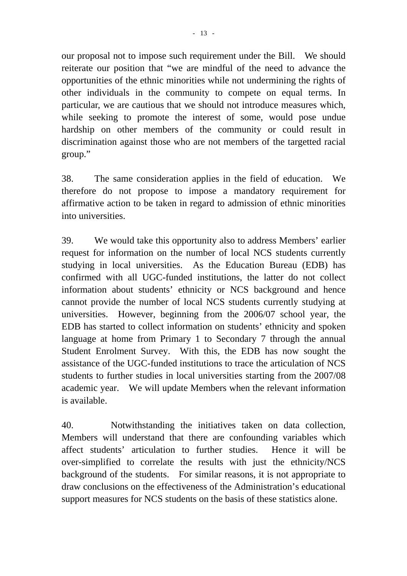our proposal not to impose such requirement under the Bill. We should reiterate our position that "we are mindful of the need to advance the opportunities of the ethnic minorities while not undermining the rights of other individuals in the community to compete on equal terms. In particular, we are cautious that we should not introduce measures which, while seeking to promote the interest of some, would pose undue hardship on other members of the community or could result in discrimination against those who are not members of the targetted racial group."

38. The same consideration applies in the field of education. We therefore do not propose to impose a mandatory requirement for affirmative action to be taken in regard to admission of ethnic minorities into universities.

39. We would take this opportunity also to address Members' earlier request for information on the number of local NCS students currently studying in local universities. As the Education Bureau (EDB) has confirmed with all UGC-funded institutions, the latter do not collect information about students' ethnicity or NCS background and hence cannot provide the number of local NCS students currently studying at universities. However, beginning from the 2006/07 school year, the EDB has started to collect information on students' ethnicity and spoken language at home from Primary 1 to Secondary 7 through the annual Student Enrolment Survey. With this, the EDB has now sought the assistance of the UGC-funded institutions to trace the articulation of NCS students to further studies in local universities starting from the 2007/08 academic year. We will update Members when the relevant information is available.

40. Notwithstanding the initiatives taken on data collection, Members will understand that there are confounding variables which affect students' articulation to further studies. Hence it will be over-simplified to correlate the results with just the ethnicity/NCS background of the students. For similar reasons, it is not appropriate to draw conclusions on the effectiveness of the Administration's educational support measures for NCS students on the basis of these statistics alone.